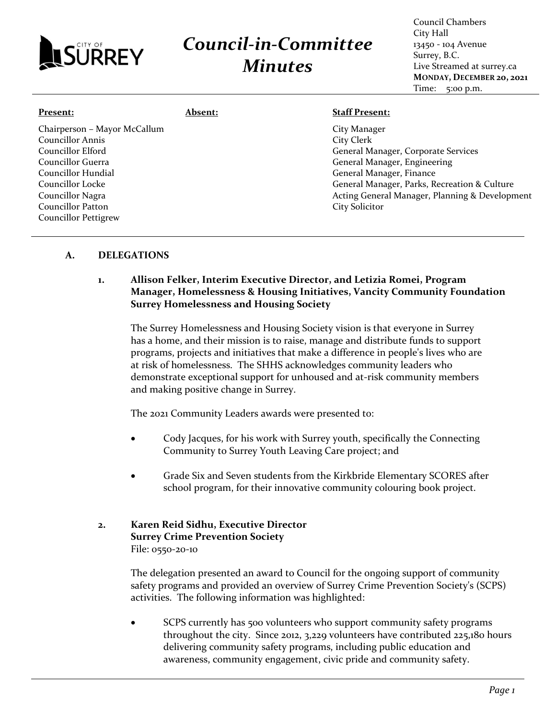

## *Council-in-Committee*

*Minutes*

Council Chambers City Hall 13450 - 104 Avenue Surrey, B.C. Live Streamed at surrey.ca **MONDAY, DECEMBER 20, 2021** Time: 5:00 p.m.

| Present:                                                                                                                                                                      | <b>Absent:</b> | <b>Staff Present:</b>                                                                                                                                                                                                                                    |
|-------------------------------------------------------------------------------------------------------------------------------------------------------------------------------|----------------|----------------------------------------------------------------------------------------------------------------------------------------------------------------------------------------------------------------------------------------------------------|
| Chairperson - Mayor McCallum<br>Councillor Annis<br>Councillor Elford<br>Councillor Guerra<br>Councillor Hundial<br>Councillor Locke<br>Councillor Nagra<br>Councillor Patton |                | City Manager<br>City Clerk<br>General Manager, Corporate Services<br>General Manager, Engineering<br>General Manager, Finance<br>General Manager, Parks, Recreation & Culture<br>Acting General Manager, Planning & Development<br><b>City Solicitor</b> |
| <b>Councillor Pettigrew</b>                                                                                                                                                   |                |                                                                                                                                                                                                                                                          |

## **A. DELEGATIONS**

## **1. Allison Felker, Interim Executive Director, and Letizia Romei, Program Manager, Homelessness & Housing Initiatives, Vancity Community Foundation Surrey Homelessness and Housing Society**

The Surrey Homelessness and Housing Society vision is that everyone in Surrey has a home, and their mission is to raise, manage and distribute funds to support programs, projects and initiatives that make a difference in people's lives who are at risk of homelessness. The SHHS acknowledges community leaders who demonstrate exceptional support for unhoused and at-risk community members and making positive change in Surrey.

The 2021 Community Leaders awards were presented to:

- Cody Jacques, for his work with Surrey youth, specifically the Connecting Community to Surrey Youth Leaving Care project; and
- Grade Six and Seven students from the Kirkbride Elementary SCORES after school program, for their innovative community colouring book project.
- **2. Karen Reid Sidhu, Executive Director Surrey Crime Prevention Society** File: 0550-20-10

The delegation presented an award to Council for the ongoing support of community safety programs and provided an overview of Surrey Crime Prevention Society's (SCPS) activities. The following information was highlighted:

• SCPS currently has 500 volunteers who support community safety programs throughout the city. Since 2012, 3,229 volunteers have contributed 225,180 hours delivering community safety programs, including public education and awareness, community engagement, civic pride and community safety.